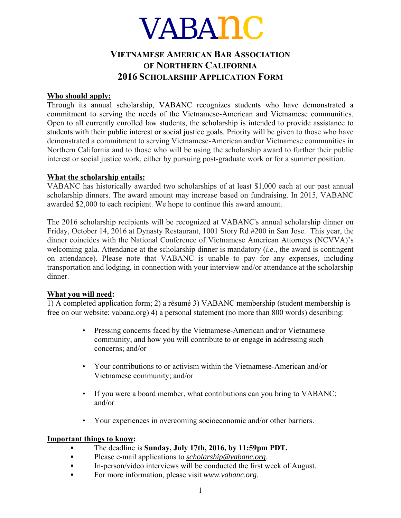# VABA*nc*

# **VIETNAMESE AMERICAN BAR ASSOCIATION OF NORTHERN CALIFORNIA 2016 SCHOLARSHIP APPLICATION FORM**

## **Who should apply:**

Through its annual scholarship, VABANC recognizes students who have demonstrated a commitment to serving the needs of the Vietnamese-American and Vietnamese communities. Open to all currently enrolled law students, the scholarship is intended to provide assistance to students with their public interest or social justice goals. Priority will be given to those who have demonstrated a commitment to serving Vietnamese-American and/or Vietnamese communities in Northern California and to those who will be using the scholarship award to further their public interest or social justice work, either by pursuing post-graduate work or for a summer position.

## **What the scholarship entails:**

VABANC has historically awarded two scholarships of at least \$1,000 each at our past annual scholarship dinners. The award amount may increase based on fundraising. In 2015, VABANC awarded \$2,000 to each recipient. We hope to continue this award amount.

The 2016 scholarship recipients will be recognized at VABANC's annual scholarship dinner on Friday, October 14, 2016 at Dynasty Restaurant, 1001 Story Rd #200 in San Jose. This year, the dinner coincides with the National Conference of Vietnamese American Attorneys (NCVVA)'s welcoming gala. Attendance at the scholarship dinner is mandatory (*i.e.*, the award is contingent on attendance). Please note that VABANC is unable to pay for any expenses, including transportation and lodging, in connection with your interview and/or attendance at the scholarship dinner.

# **What you will need:**

1) A completed application form; 2) a résumé 3) VABANC membership (student membership is free on our website: vabanc.org) 4) a personal statement (no more than 800 words) describing:

- Pressing concerns faced by the Vietnamese-American and/or Vietnamese community, and how you will contribute to or engage in addressing such concerns; and/or
- Your contributions to or activism within the Vietnamese-American and/or Vietnamese community; and/or
- If you were a board member, what contributions can you bring to VABANC; and/or
- Your experiences in overcoming socioeconomic and/or other barriers.

## **Important things to know:**

- **▪** The deadline is **Sunday, July 17th, 2016, by 11:59pm PDT.**
- **▪** Please e-mail applications to *scholarship@vabanc.org*.
- **•** In-person/video interviews will be conducted the first week of August.
- **▪** For more information, please visit *www.vabanc*.*org*.